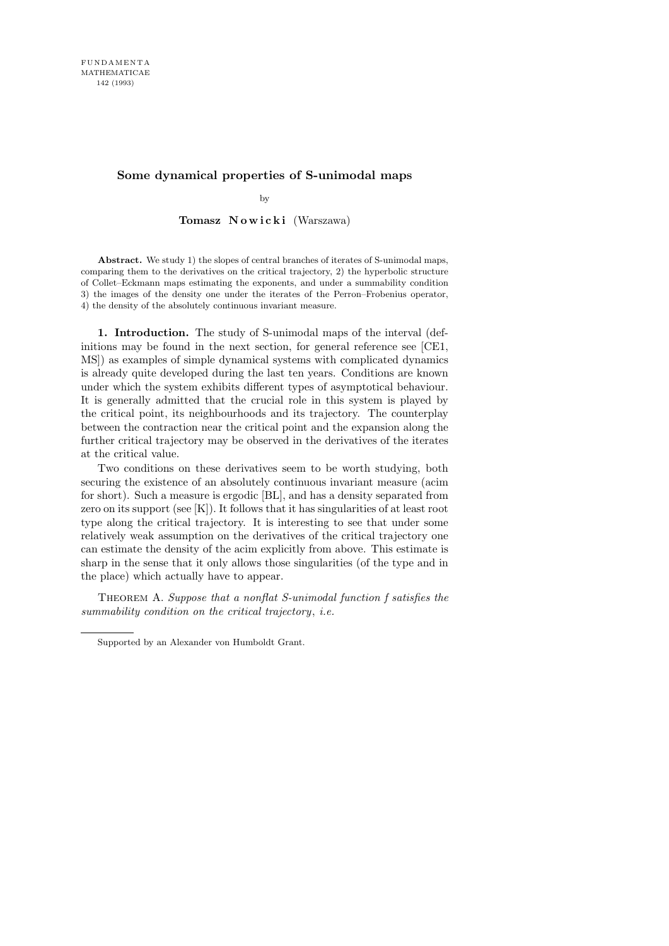## **Some dynamical properties of S-unimodal maps**

by

Tomasz Nowicki (Warszawa)

**Abstract.** We study 1) the slopes of central branches of iterates of S-unimodal maps, comparing them to the derivatives on the critical trajectory, 2) the hyperbolic structure of Collet–Eckmann maps estimating the exponents, and under a summability condition 3) the images of the density one under the iterates of the Perron–Frobenius operator, 4) the density of the absolutely continuous invariant measure.

1. Introduction. The study of S-unimodal maps of the interval (definitions may be found in the next section, for general reference see [CE1, MS]) as examples of simple dynamical systems with complicated dynamics is already quite developed during the last ten years. Conditions are known under which the system exhibits different types of asymptotical behaviour. It is generally admitted that the crucial role in this system is played by the critical point, its neighbourhoods and its trajectory. The counterplay between the contraction near the critical point and the expansion along the further critical trajectory may be observed in the derivatives of the iterates at the critical value.

Two conditions on these derivatives seem to be worth studying, both securing the existence of an absolutely continuous invariant measure (acim for short). Such a measure is ergodic [BL], and has a density separated from zero on its support (see [K]). It follows that it has singularities of at least root type along the critical trajectory. It is interesting to see that under some relatively weak assumption on the derivatives of the critical trajectory one can estimate the density of the acim explicitly from above. This estimate is sharp in the sense that it only allows those singularities (of the type and in the place) which actually have to appear.

Theorem A. Suppose that a nonflat S-unimodal function f satisfies the summability condition on the critical trajectory, i.e.

Supported by an Alexander von Humboldt Grant.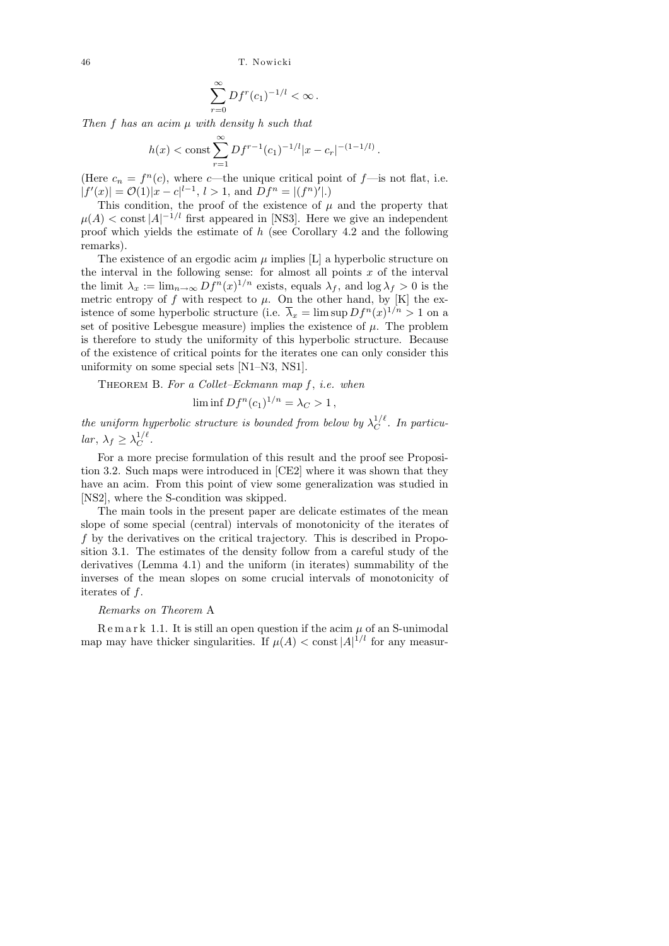$$
\sum_{r=0}^{\infty} Df^r (c_1)^{-1/l} < \infty.
$$

Then  $f$  has an acim  $\mu$  with density  $h$  such that

$$
h(x) < \text{const} \sum_{r=1}^{\infty} Df^{r-1}(c_1)^{-1/l} |x - c_r|^{-(1-1/l)}.
$$

(Here  $c_n = f^n(c)$ , where c—the unique critical point of f—is not flat, i.e.  $|f'(x)| = \mathcal{O}(1)|x - c|^{l-1}, l > 1$ , and  $Df^{n} = |(f^{n})'|$ .

This condition, the proof of the existence of  $\mu$  and the property that  $\mu(A) < \text{const} |A|^{-1/l}$  first appeared in [NS3]. Here we give an independent proof which yields the estimate of h (see Corollary 4.2 and the following remarks).

The existence of an ergodic acim $\mu$  implies [L] a hyperbolic structure on the interval in the following sense: for almost all points  $x$  of the interval the limit  $\lambda_x := \lim_{n \to \infty} Df^n(x)^{1/n}$  exists, equals  $\lambda_f$ , and  $\log \lambda_f > 0$  is the metric entropy of f with respect to  $\mu$ . On the other hand, by [K] the existence of some hyperbolic structure (i.e.  $\overline{\lambda}_x = \limsup Df^n(x)^{1/n} > 1$  on a set of positive Lebesgue measure) implies the existence of  $\mu$ . The problem is therefore to study the uniformity of this hyperbolic structure. Because of the existence of critical points for the iterates one can only consider this uniformity on some special sets [N1–N3, NS1].

THEOREM B. For a Collet–Eckmann map  $f$ , i.e. when

$$
\liminf Df^{n}(c_{1})^{1/n} = \lambda_{C} > 1,
$$

the uniform hyperbolic structure is bounded from below by  $\lambda_C^{1/\ell}$  $C^{\frac{1}{\ell}}$ . In particular,  $\lambda_f \geq \lambda_C^{1/\ell}$  $C^{1/\ell}$ .

For a more precise formulation of this result and the proof see Proposition 3.2. Such maps were introduced in [CE2] where it was shown that they have an acim. From this point of view some generalization was studied in [NS2], where the S-condition was skipped.

The main tools in the present paper are delicate estimates of the mean slope of some special (central) intervals of monotonicity of the iterates of f by the derivatives on the critical trajectory. This is described in Proposition 3.1. The estimates of the density follow from a careful study of the derivatives (Lemma 4.1) and the uniform (in iterates) summability of the inverses of the mean slopes on some crucial intervals of monotonicity of iterates of f.

## Remarks on Theorem A

 $R$  e m a r k 1.1. It is still an open question if the acim  $\mu$  of an S-unimodal map may have thicker singularities. If  $\mu(A) < \text{const} |A|^{1/l}$  for any measur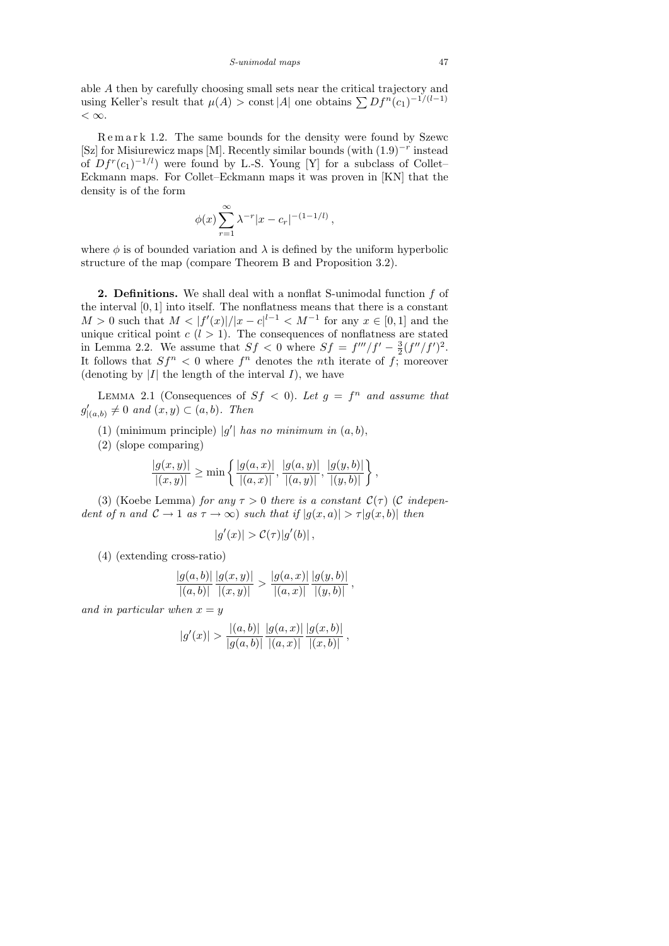able A then by carefully choosing small sets near the critical trajectory and using Keller's result that  $\mu(A) > \text{const} |A|$  one obtains  $\sum Df^n(c_1)^{-1/(l-1)}$  $< \infty$ .

R e m a r k 1.2. The same bounds for the density were found by Szewc [Sz] for Misiurewicz maps [M]. Recently similar bounds (with (1.9)<sup>−</sup><sup>r</sup> instead of  $Df^r(c_1)^{-1/l}$  were found by L.-S. Young [Y] for a subclass of Collet– Eckmann maps. For Collet–Eckmann maps it was proven in [KN] that the density is of the form

$$
\phi(x) \sum_{r=1}^{\infty} \lambda^{-r} |x - c_r|^{-(1-1/l)},
$$

where  $\phi$  is of bounded variation and  $\lambda$  is defined by the uniform hyperbolic structure of the map (compare Theorem B and Proposition 3.2).

2. Definitions. We shall deal with a nonflat S-unimodal function f of the interval [0, 1] into itself. The nonflatness means that there is a constant  $M > 0$  such that  $M < |f'(x)|/|x - c|^{l-1} < M^{-1}$  for any  $x \in [0,1]$  and the unique critical point  $c$  ( $l > 1$ ). The consequences of nonflatness are stated in Lemma 2.2. We assume that  $Sf < 0$  where  $Sf = f'''/f' - \frac{3}{2}$  $\frac{3}{2}(f''/f')^2$ . It follows that  $Sf^n < 0$  where  $f^n$  denotes the *n*th iterate of f; moreover (denoting by  $|I|$  the length of the interval  $I$ ), we have

LEMMA 2.1 (Consequences of  $Sf < 0$ ). Let  $g = f^n$  and assume that  $g'_{|(a,b)} \neq 0$  and  $(x,y) \subset (a,b)$ . Then

(1) (minimum principle) |g'| has no minimum in  $(a, b)$ ,

(2) (slope comparing)

$$
\frac{|g(x,y)|}{|(x,y)|} \ge \min\left\{ \frac{|g(a,x)|}{|(a,x)|}, \frac{|g(a,y)|}{|(a,y)|}, \frac{|g(y,b)|}{|(y,b)|} \right\},\,
$$

(3) (Koebe Lemma) for any  $\tau > 0$  there is a constant  $\mathcal{C}(\tau)$  (C independent of n and  $C \to 1$  as  $\tau \to \infty$ ) such that if  $|g(x, a)| > \tau |g(x, b)|$  then

$$
|g'(x)| > C(\tau)|g'(b)|,
$$

(4) (extending cross-ratio)

$$
\frac{|g(a,b)|}{|(a,b)|}\frac{|g(x,y)|}{|(x,y)|} > \frac{|g(a,x)|}{|(a,x)|}\frac{|g(y,b)|}{|(y,b)|},
$$

and in particular when  $x = y$ 

$$
|g'(x)| > \frac{|(a,b)|}{|g(a,b)|} \frac{|g(a,x)|}{|(a,x)|} \frac{|g(x,b)|}{|(x,b)|},
$$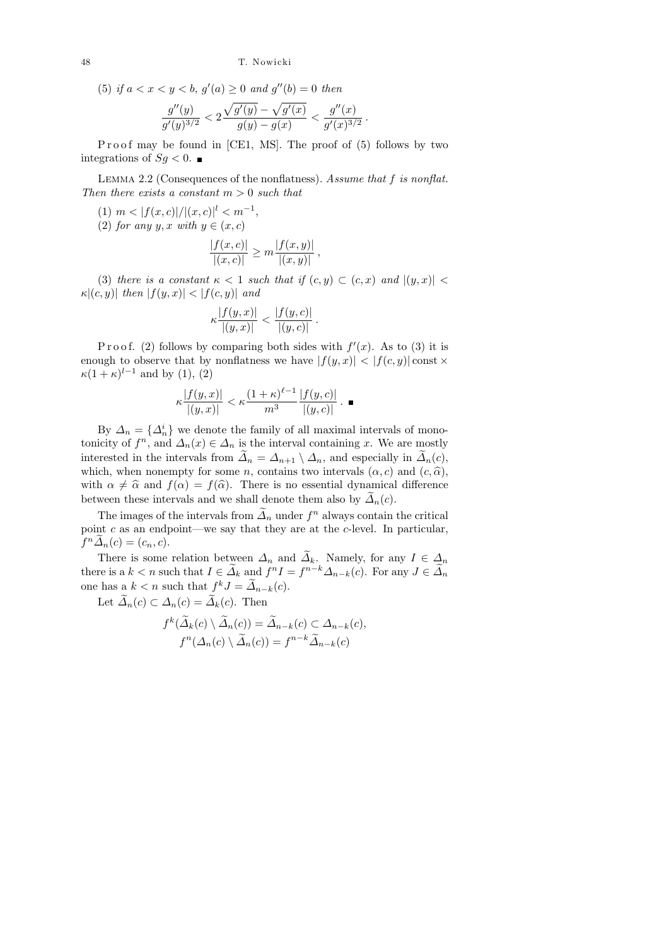(5) if  $a < x < y < b$ ,  $g'(a) \ge 0$  and  $g''(b) = 0$  then

$$
\frac{g''(y)}{g'(y)^{3/2}} < 2\frac{\sqrt{g'(y)}-\sqrt{g'(x)}}{g(y)-g(x)} < \frac{g''(x)}{g'(x)^{3/2}}
$$

.

 $\blacksquare$ 

Proof may be found in  $[CE1, MS]$ . The proof of  $(5)$  follows by two integrations of  $Sg < 0$ .

LEMMA 2.2 (Consequences of the nonflatness). Assume that f is nonflat. Then there exists a constant  $m > 0$  such that

- (1)  $m < |f(x, c)| / |(x, c)|^l < m^{-1}$ ,
- (2) for any y, x with  $y \in (x, c)$

$$
\frac{|f(x,c)|}{|(x,c)|} \ge m \frac{|f(x,y)|}{|(x,y)|},
$$

(3) there is a constant  $\kappa < 1$  such that if  $(c, y) \subset (c, x)$  and  $|(y, x)| <$  $\kappa |(c, y)|$  then  $|f(y, x)| < |f(c, y)|$  and

$$
\kappa \frac{|f(y,x)|}{|(y,x)|} < \frac{|f(y,c)|}{|(y,c)|} \, .
$$

Proof. (2) follows by comparing both sides with  $f'(x)$ . As to (3) it is enough to observe that by nonflatness we have  $|f(y, x)| < |f(c, y)| \text{const} \times$  $\kappa(1+\kappa)^{l-1}$  and by (1), (2)

$$
\kappa \frac{|f(y,x)|}{|(y,x)|} < \kappa \frac{(1+\kappa)^{\ell-1}}{m^3} \frac{|f(y,c)|}{|(y,c)|}.
$$

By  $\Delta_n = {\Delta_n^i}$  we denote the family of all maximal intervals of monotonicity of  $f^n$ , and  $\Delta_n(x) \in \Delta_n$  is the interval containing x. We are mostly interested in the intervals from  $\tilde{\Delta}_n = \Delta_{n+1} \setminus \Delta_n$ , and especially in  $\tilde{\Delta}_n(c)$ , which, when nonempty for some n, contains two intervals  $(\alpha, c)$  and  $(c, \hat{\alpha})$ , with  $\alpha \neq \hat{\alpha}$  and  $f(\alpha) = f(\hat{\alpha})$ . There is no essential dynamical difference between these intervals and we shall denote them also by  $\tilde{\Delta}_n(c)$ .

The images of the intervals from  $\tilde{\Lambda}_n$  under  $f^n$  always contain the critical point  $c$  as an endpoint—we say that they are at the  $c$ -level. In particular,  $f^n \widetilde{\Delta}_n(c) = (c_n, c).$ 

There is some relation between  $\Delta_n$  and  $\widetilde{\Delta}_k$ . Namely, for any  $I \in \Delta_n$ there is a  $k < n$  such that  $I \in \tilde{\Delta}_k$  and  $f^n I = f^{n-k} \Delta_{n-k}(c)$ . For any  $J \in \tilde{\Delta}_n$ one has  $a \, k < n$  such that  $f^k J = \tilde{A}_{n-k}(c)$ .

Let  $\widetilde{\Delta}_n(c) \subset \Delta_n(c) = \widetilde{\Delta}_k(c)$ . Then

$$
f^{k}(\widetilde{\Delta}_{k}(c) \setminus \widetilde{\Delta}_{n}(c)) = \widetilde{\Delta}_{n-k}(c) \subset \Delta_{n-k}(c),
$$
  

$$
f^{n}(\Delta_{n}(c) \setminus \widetilde{\Delta}_{n}(c)) = f^{n-k} \widetilde{\Delta}_{n-k}(c)
$$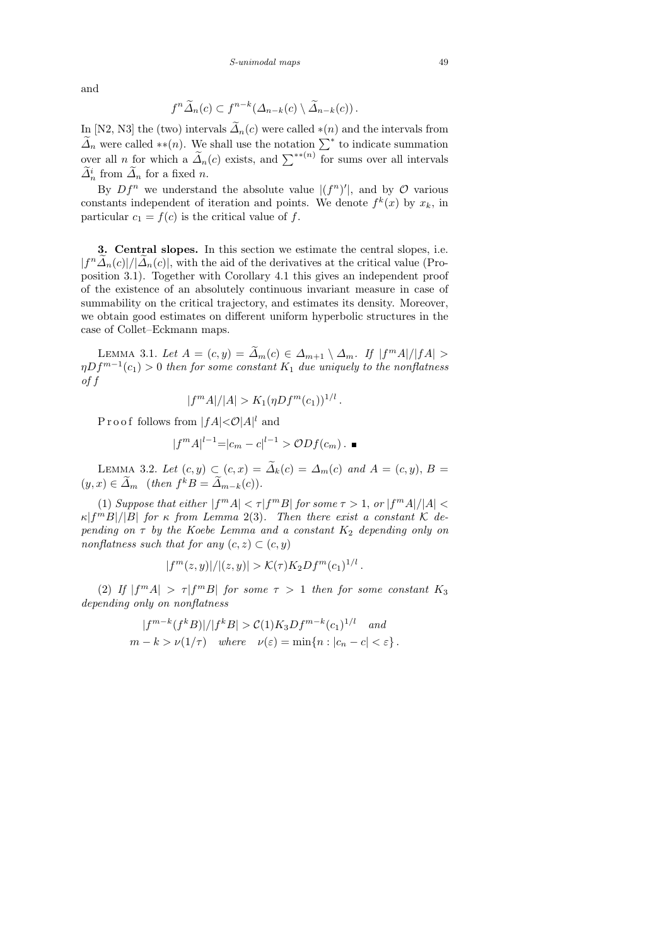and

$$
f^{n}\widetilde{\Delta}_{n}(c) \subset f^{n-k}(\Delta_{n-k}(c) \setminus \widetilde{\Delta}_{n-k}(c)).
$$

In [N2, N3] the (two) intervals  $\tilde{\Delta}_n(c)$  were called \*(n) and the intervals from  $\widetilde{\Delta}_n$  were called \*\*(n). We shall use the notation  $\sum^*$  to indicate summation over all n for which a  $\tilde{A}_n(c)$  exists, and  $\sum^{**}(n)$  for sums over all intervals  $\tilde{\Delta}_n^i$  from  $\tilde{\Delta}_n$  for a fixed *n*.

By  $Df^n$  we understand the absolute value  $|(f^n)'|$ , and by  $\mathcal O$  various constants independent of iteration and points. We denote  $f^k(x)$  by  $x_k$ , in particular  $c_1 = f(c)$  is the critical value of f.

3. Central slopes. In this section we estimate the central slopes, i.e.  $|f^n\tilde{\mathcal{A}}_n(c)|/|\tilde{\mathcal{A}}_n(c)|$ , with the aid of the derivatives at the critical value (Proposition 3.1). Together with Corollary 4.1 this gives an independent proof of the existence of an absolutely continuous invariant measure in case of summability on the critical trajectory, and estimates its density. Moreover, we obtain good estimates on different uniform hyperbolic structures in the case of Collet–Eckmann maps.

LEMMA 3.1. Let  $A = (c, y) = \widetilde{\Delta}_m(c) \in \Delta_{m+1} \setminus \Delta_m$ . If  $|f^m A|/|f A| >$  $\eta Df^{m-1}(c_1)>0$  then for some constant  $K_1$  due uniquely to the nonflatness of f

$$
|f^{m}A|/|A| > K_1(\eta Df^{m}(c_1))^{1/l}
$$

.

.

Proof follows from  $|fA|\langle \mathcal{O}|A|^l$  and

$$
|f^{m}A|^{l-1} = |c_{m} - c|^{l-1} > \mathcal{O}Df(c_{m}).
$$

LEMMA 3.2. Let  $(c, y) \subset (c, x) = \widetilde{\Delta}_k(c) = \Delta_m(c)$  and  $A = (c, y), B =$  $(y, x) \in \widetilde{\Delta}_m$  (then  $f^k B = \widetilde{\Delta}_{m-k}(c)$ ).

(1) Suppose that either  $|f^m A| < \tau |f^m B|$  for some  $\tau > 1$ , or  $|f^m A|/|A| < \tau$  $\kappa |f^m B|/|B|$  for  $\kappa$  from Lemma 2(3). Then there exist a constant K depending on  $\tau$  by the Koebe Lemma and a constant  $K_2$  depending only on nonflatness such that for any  $(c, z) \subset (c, y)$ 

$$
|f^m(z,y)|/|(z,y)| > \mathcal{K}(\tau)K_2Df^m(c_1)^{1/l}
$$

(2) If  $|f^m A| > \tau |f^m B|$  for some  $\tau > 1$  then for some constant  $K_3$ depending only on nonflatness

$$
|f^{m-k}(f^k B)|/|f^k B| > C(1)K_3Df^{m-k}(c_1)^{1/l} \quad and
$$
  

$$
m-k > \nu(1/\tau) \quad where \quad \nu(\varepsilon) = \min\{n : |c_n - c| < \varepsilon\}.
$$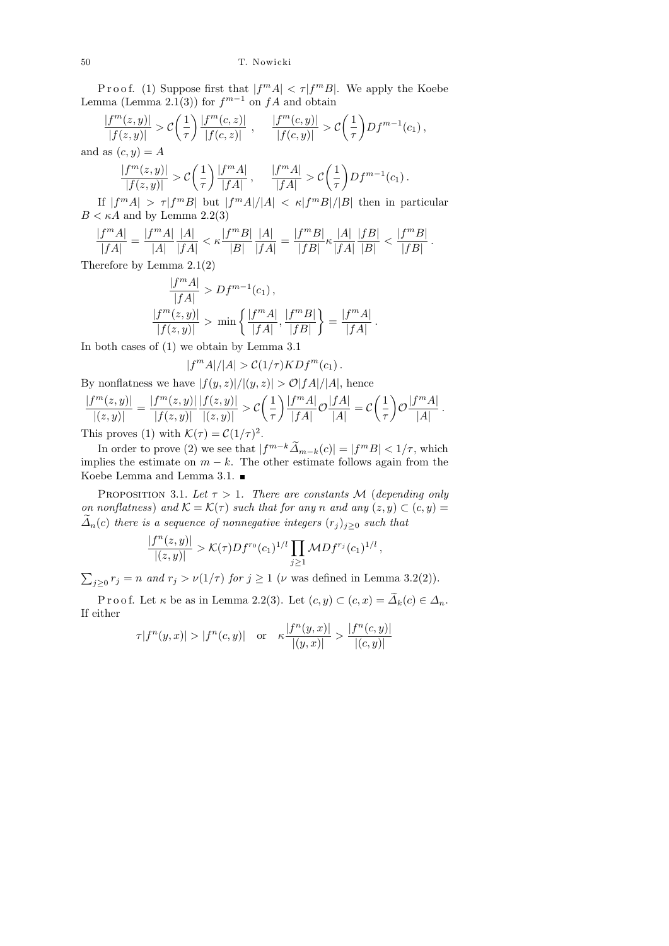Proof. (1) Suppose first that  $|f^m A| < \tau |f^m B|$ . We apply the Koebe Lemma (Lemma 2.1(3)) for  $f^{m-1}$  on  $fA$  and obtain

$$
\frac{|f^m(z,y)|}{|f(z,y)|} > C\left(\frac{1}{\tau}\right) \frac{|f^m(c,z)|}{|f(c,z)|} , \quad \frac{|f^m(c,y)|}{|f(c,y)|} > C\left(\frac{1}{\tau}\right) Df^{m-1}(c_1) ,
$$
  
and as  $(c,y) = A$   

$$
\frac{|f^m(z,y)|}{|f(z,y)|} > C\left(\frac{1}{\tau}\right) \frac{|f^m A|}{|f A|} , \quad \frac{|f^m A|}{|f A|} > C\left(\frac{1}{\tau}\right) Df^{m-1}(c_1) .
$$

If  $|f^m A| > \tau |f^m B|$  but  $|f^m A|/|A| < \kappa |f^m B|/|B|$  then in particular  $B < \kappa A$  and by Lemma 2.2(3)

$$
\frac{|f^m A|}{|fA|} = \frac{|f^m A|}{|A|}\frac{|A|}{|fA|} < \kappa \frac{|f^m B|}{|B|}\frac{|A|}{|fA|} = \frac{|f^m B|}{|fB|}\kappa \frac{|A|}{|fA|}\frac{|fB|}{|B|} < \frac{|f^m B|}{|fB|}.
$$

Therefore by Lemma 2.1(2)

$$
\frac{|f^m A|}{|fA|} > Df^{m-1}(c_1),
$$
  

$$
\frac{|f^m(z, y)|}{|f(z, y)|} > \min\left\{\frac{|f^m A|}{|fA|}, \frac{|f^m B|}{|fB|}\right\} = \frac{|f^m A|}{|fA|}
$$

.

In both cases of (1) we obtain by Lemma 3.1

$$
|f^m A|/|A| > C(1/\tau) K D f^m(c_1).
$$

By nonflatness we have  $|f(y, z)|/|(y, z)| > \mathcal{O}|fA|/|A|$ , hence

$$
\frac{|f^m(z,y)|}{|(z,y)|} = \frac{|f^m(z,y)|}{|f(z,y)|} \frac{|f(z,y)|}{|(z,y)|} > C\left(\frac{1}{\tau}\right) \frac{|f^m A|}{|f A|} \mathcal{O}\frac{|f A|}{|A|} = C\left(\frac{1}{\tau}\right) \mathcal{O}\frac{|f^m A|}{|A|}.
$$
\nThis proves (1) with  $K(\tau) = C(1/\tau)^2$ .

This proves (1) with  $\mathcal{K}(\tau) = \mathcal{C}(1/\tau)^2$ .

In order to prove (2) we see that  $|f^{m-k}\tilde{A}_{m-k}(c)| = |f^mB| < 1/\tau$ , which implies the estimate on  $m - k$ . The other estimate follows again from the Koebe Lemma and Lemma 3.1.

PROPOSITION 3.1. Let  $\tau > 1$ . There are constants M (depending only on nonflatness) and  $\mathcal{K} = \mathcal{K}(\tau)$  such that for any n and any  $(z, y) \subset (c, y) =$  $\tilde{\Delta}_n(c)$  there is a sequence of nonnegative integers  $(r_i)_{i\geq0}$  such that

$$
\frac{|f^n(z,y)|}{|(z,y)|} > \mathcal{K}(\tau)Df^{r_0}(c_1)^{1/l} \prod_{j\geq 1} \mathcal{M}Df^{r_j}(c_1)^{1/l},
$$

 $\sum_{j\geq 0} r_j = n$  and  $r_j > \nu(1/\tau)$  for  $j \geq 1$  ( $\nu$  was defined in Lemma 3.2(2)).

P r o o f. Let  $\kappa$  be as in Lemma 2.2(3). Let  $(c, y) \subset (c, x) = \widetilde{\Delta}_k(c) \in \Delta_n$ . If either

$$
\tau |f^n(y,x)| > |f^n(c,y)| \quad \text{or} \quad \kappa \frac{|f^n(y,x)|}{|(y,x)|} > \frac{|f^n(c,y)|}{|(c,y)|}
$$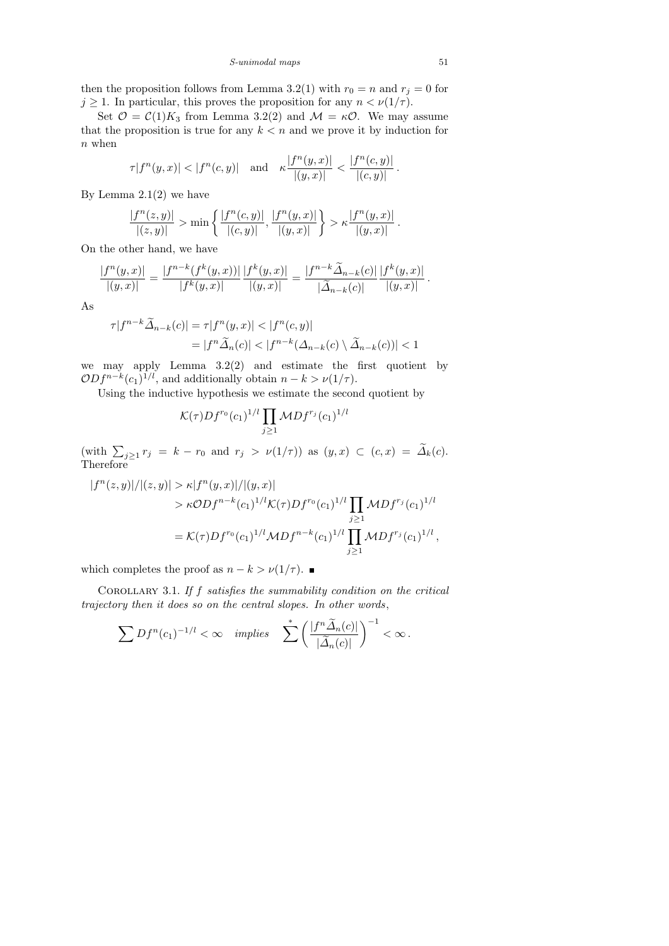then the proposition follows from Lemma 3.2(1) with  $r_0 = n$  and  $r_j = 0$  for  $j \geq 1$ . In particular, this proves the proposition for any  $n < \nu(1/\tau)$ .

Set  $\mathcal{O} = \mathcal{C}(1)K_3$  from Lemma 3.2(2) and  $\mathcal{M} = \kappa \mathcal{O}$ . We may assume that the proposition is true for any  $k < n$  and we prove it by induction for  $n$  when

$$
\tau |f^n(y, x)| < |f^n(c, y)| \quad \text{and} \quad \kappa \frac{|f^n(y, x)|}{|(y, x)|} < \frac{|f^n(c, y)|}{|(c, y)|}.
$$

By Lemma  $2.1(2)$  we have

$$
\frac{|f^n(z,y)|}{|(z,y)|} > \min\left\{\frac{|f^n(c,y)|}{|(c,y)|},\frac{|f^n(y,x)|}{|(y,x)|}\right\} > \kappa \frac{|f^n(y,x)|}{|(y,x)|}.
$$

On the other hand, we have

$$
\frac{|f^n(y,x)|}{|(y,x)|} = \frac{|f^{n-k}(f^k(y,x))|}{|f^k(y,x)|} \frac{|f^k(y,x)|}{|(y,x)|} = \frac{|f^{n-k}\widetilde{\Delta}_{n-k}(c)|}{|\widetilde{\Delta}_{n-k}(c)|} \frac{|f^k(y,x)|}{|(y,x)|}.
$$

As

$$
\tau |f^{n-k}\widetilde{\Delta}_{n-k}(c)| = \tau |f^n(y,x)| < |f^n(c,y)|
$$
  
= 
$$
|f^n\widetilde{\Delta}_n(c)| < |f^{n-k}(\Delta_{n-k}(c) \setminus \widetilde{\Delta}_{n-k}(c))| < 1
$$

we may apply Lemma  $3.2(2)$  and estimate the first quotient by  $ODf^{n-k}(c_1)^{1/l}$ , and additionally obtain  $n-k > \nu(1/\tau)$ .

Using the inductive hypothesis we estimate the second quotient by

$$
\mathcal{K}(\tau)Df^{r_0}(c_1)^{1/l}\prod_{j\geq 1}\mathcal{M}Df^{r_j}(c_1)^{1/l}
$$

 $(\text{with } \sum_{j\geq 1} r_j = k - r_0 \text{ and } r_j > \nu(1/\tau)) \text{ as } (y, x) \subset (c, x) = \Delta_k(c).$ Therefore

$$
|f^{n}(z, y)|/|(z, y)| > \kappa |f^{n}(y, x)|/|(y, x)|
$$
  
>  $\kappa \mathcal{O}Df^{n-k}(c_1)^{1/l} \mathcal{K}(\tau)Df^{r_0}(c_1)^{1/l} \prod_{j \ge 1} \mathcal{M}Df^{r_j}(c_1)^{1/l}$   
=  $\mathcal{K}(\tau)Df^{r_0}(c_1)^{1/l} \mathcal{M}Df^{n-k}(c_1)^{1/l} \prod_{j \ge 1} \mathcal{M}Df^{r_j}(c_1)^{1/l},$ 

which completes the proof as  $n - k > \nu(1/\tau)$ .

COROLLARY 3.1. If  $f$  satisfies the summability condition on the critical trajectory then it does so on the central slopes. In other words,

$$
\sum Df^{n}(c_1)^{-1/l} < \infty \quad implies \quad \sum_{n=1}^{\infty} \left( \frac{|f^{n}\widetilde{\Delta}_n(c)|}{|\widetilde{\Delta}_n(c)|} \right)^{-1} < \infty.
$$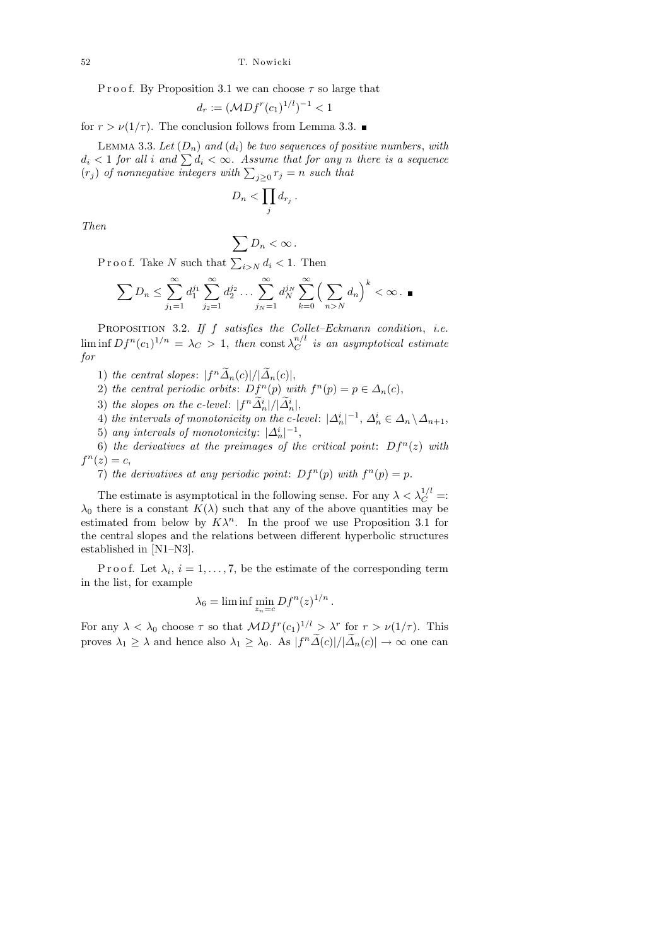P r o o f. By Proposition 3.1 we can choose  $\tau$  so large that

$$
d_r := (\mathcal{M} Df^r(c_1)^{1/l})^{-1} < 1
$$

for  $r > \nu(1/\tau)$ . The conclusion follows from Lemma 3.3.

LEMMA 3.3. Let  $(D_n)$  and  $(d_i)$  be two sequences of positive numbers, with  $d_i < 1$  for all i and  $\sum d_i < \infty$ . Assume that for any n there is a sequence  $(r_j)$  of nonnegative integers with  $\sum_{j\geq 0} r_j = n$  such that

$$
D_n < \prod_j d_{r_j} \, .
$$

Then

$$
\sum D_n < \infty \, .
$$

Proof. Take N such that  $\sum_{i>N} d_i < 1$ . Then

$$
\sum D_n \le \sum_{j_1=1}^{\infty} d_1^{j_1} \sum_{j_2=1}^{\infty} d_2^{j_2} \dots \sum_{j_N=1}^{\infty} d_N^{j_N} \sum_{k=0}^{\infty} \left( \sum_{n>N} d_n \right)^k < \infty.
$$

PROPOSITION 3.2. If  $f$  satisfies the Collet–Eckmann condition, i.e.  $\liminf Df^{n}(c_{1})^{1/n} = \lambda_{C} > 1, \text{ then } \text{const } \lambda_{C}^{n/l}$  $\overline{C}^{n/1}$  is an asymptotical estimate for

1) the central slopes:  $|f^n\tilde{\Delta}_n(c)|/|\tilde{\Delta}_n(c)|,$ 

2) the central periodic orbits: 
$$
Df^{n}(p)
$$
 with  $f^{n}(p) = p \in \Delta_{n}(c)$ ,

- 3) the slopes on the c-level:  $|f^n \widetilde{\Delta}_n^i|/|\widetilde{\Delta}_n^i|,$
- 4) the intervals of monotonicity on the c-level:  $|\Delta_n^i|^{-1}$ ,  $\Delta_n^i \in \Delta_n \backslash \Delta_{n+1}$ ,
- 5) any intervals of monotonicity:  $|\Delta_n^i|^{-1}$ ,

6) the derivatives at the preimages of the critical point:  $Df^{n}(z)$  with  $f^{n}(z) = c,$ 

7) the derivatives at any periodic point:  $Df^{n}(p)$  with  $f^{n}(p) = p$ .

The estimate is asymptotical in the following sense. For any  $\lambda < \lambda_C^{1/l} =$ :  $\lambda_0$  there is a constant  $K(\lambda)$  such that any of the above quantities may be estimated from below by  $K\lambda^n$ . In the proof we use Proposition 3.1 for the central slopes and the relations between different hyperbolic structures established in [N1–N3].

P r o o f. Let  $\lambda_i$ ,  $i = 1, \ldots, 7$ , be the estimate of the corresponding term in the list, for example

$$
\lambda_6 = \liminf_{z_n = c} \min_{n=1} Df^n(z)^{1/n}
$$

.

For any  $\lambda < \lambda_0$  choose  $\tau$  so that  $\mathcal{M}Df^r(c_1)^{1/l} > \lambda^r$  for  $r > \nu(1/\tau)$ . This proves  $\lambda_1 \geq \lambda$  and hence also  $\lambda_1 \geq \lambda_0$ . As  $|f^n \tilde{\Delta}(c)|/|\tilde{\Delta}_n(c)| \to \infty$  one can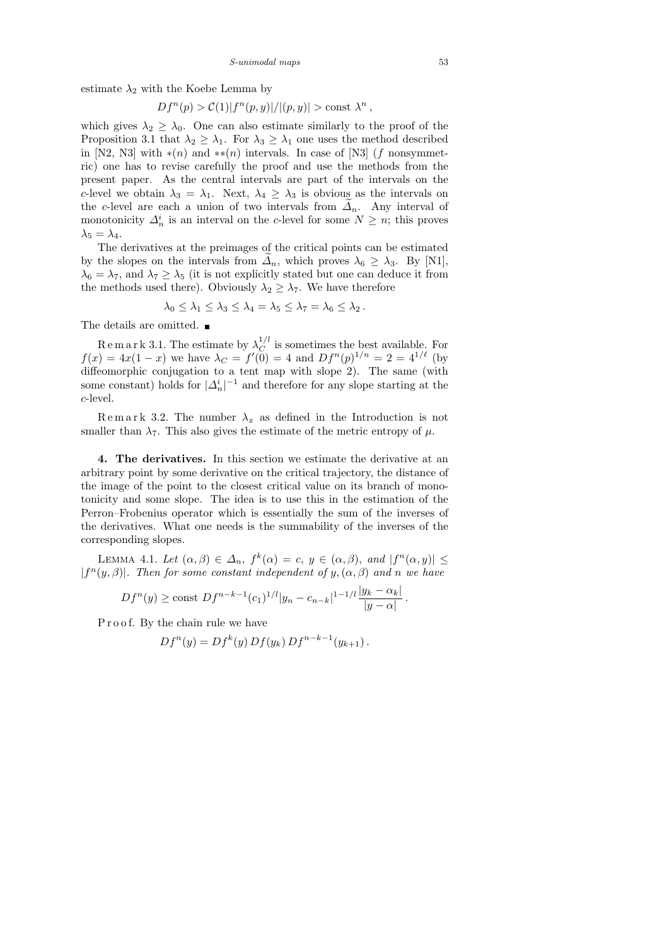estimate  $\lambda_2$  with the Koebe Lemma by

$$
Df^{n}(p) > C(1)|f^{n}(p, y)|/|(p, y)| > \text{const } \lambda^{n},
$$

which gives  $\lambda_2 \geq \lambda_0$ . One can also estimate similarly to the proof of the Proposition 3.1 that  $\lambda_2 \geq \lambda_1$ . For  $\lambda_3 \geq \lambda_1$  one uses the method described in [N2, N3] with  $*(n)$  and  $**(n)$  intervals. In case of [N3] (f nonsymmetric) one has to revise carefully the proof and use the methods from the present paper. As the central intervals are part of the intervals on the c-level we obtain  $\lambda_3 = \lambda_1$ . Next,  $\lambda_4 \geq \lambda_3$  is obvious as the intervals on the c-level are each a union of two intervals from  $\Delta_n$ . Any interval of monotonicity  $\Delta_n^i$  is an interval on the c-level for some  $N \geq n$ ; this proves  $\lambda_5 = \lambda_4.$ 

The derivatives at the preimages of the critical points can be estimated by the slopes on the intervals from  $\Delta_n$ , which proves  $\lambda_6 \geq \lambda_3$ . By [N1],  $\lambda_6 = \lambda_7$ , and  $\lambda_7 \geq \lambda_5$  (it is not explicitly stated but one can deduce it from the methods used there). Obviously  $\lambda_2 \geq \lambda_7$ . We have therefore

$$
\lambda_0 \leq \lambda_1 \leq \lambda_3 \leq \lambda_4 = \lambda_5 \leq \lambda_7 = \lambda_6 \leq \lambda_2.
$$

The details are omitted.  $\blacksquare$ 

Remark 3.1. The estimate by  $\lambda_C^{1/l}$  $C^{1/\ell}$  is sometimes the best available. For  $f(x) = 4x(1-x)$  we have  $\lambda_C = f'(0) = 4$  and  $Df^{n}(p)^{1/n} = 2 = 4^{1/\ell}$  (by diffeomorphic conjugation to a tent map with slope 2). The same (with some constant) holds for  $|\Delta_n^i|^{-1}$  and therefore for any slope starting at the c-level.

Remark 3.2. The number  $\lambda_x$  as defined in the Introduction is not smaller than  $\lambda_7$ . This also gives the estimate of the metric entropy of  $\mu$ .

4. The derivatives. In this section we estimate the derivative at an arbitrary point by some derivative on the critical trajectory, the distance of the image of the point to the closest critical value on its branch of monotonicity and some slope. The idea is to use this in the estimation of the Perron–Frobenius operator which is essentially the sum of the inverses of the derivatives. What one needs is the summability of the inverses of the corresponding slopes.

LEMMA 4.1. Let  $(\alpha, \beta) \in \Delta_n$ ,  $f^k(\alpha) = c$ ,  $y \in (\alpha, \beta)$ , and  $|f^n(\alpha, y)| \leq$  $|f^{n}(y, \beta)|$ . Then for some constant independent of y,  $(\alpha, \beta)$  and n we have

$$
Df^{n}(y) \ge \text{const } Df^{n-k-1}(c_1)^{1/l} |y_n - c_{n-k}|^{1-1/l} \frac{|y_k - \alpha_k|}{|y - \alpha|}
$$

.

P r o o f. By the chain rule we have

$$
Df^{n}(y) = Df^{k}(y) Df(y_{k}) Df^{n-k-1}(y_{k+1}).
$$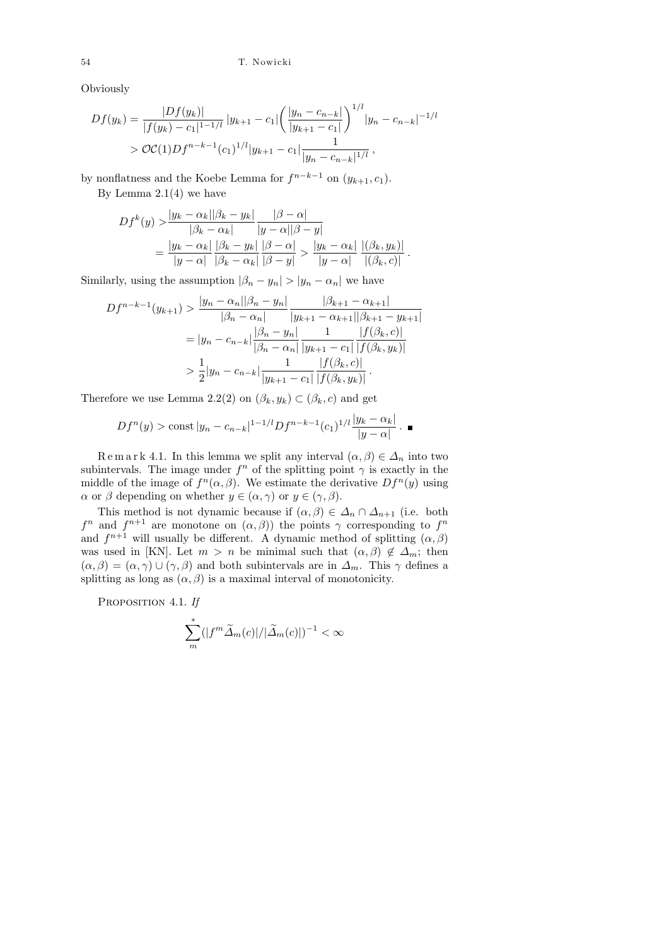Obviously

$$
Df(y_k) = \frac{|Df(y_k)|}{|f(y_k) - c_1|^{1-1/l}} |y_{k+1} - c_1| \left(\frac{|y_n - c_{n-k}|}{|y_{k+1} - c_1|}\right)^{1/l} |y_n - c_{n-k}|^{-1/l}
$$
  
>  $\mathcal{OC}(1)Df^{n-k-1}(c_1)^{1/l} |y_{k+1} - c_1| \frac{1}{|y_n - c_{n-k}|^{1/l}},$ 

by nonflatness and the Koebe Lemma for  $f^{n-k-1}$  on  $(y_{k+1}, c_1)$ .

By Lemma  $2.1(4)$  we have

$$
Df^{k}(y) > \frac{|y_{k} - \alpha_{k}||\beta_{k} - y_{k}|}{|\beta_{k} - \alpha_{k}|} \frac{|\beta - \alpha|}{|y - \alpha||\beta - y|}
$$
  
= 
$$
\frac{|y_{k} - \alpha_{k}|}{|y - \alpha|} \frac{|\beta_{k} - y_{k}|}{|\beta_{k} - \alpha_{k}|} \frac{|\beta - \alpha|}{|\beta - y|} > \frac{|y_{k} - \alpha_{k}|}{|y - \alpha|} \frac{|(\beta_{k}, y_{k})|}{|(\beta_{k}, c)|}
$$

.

Similarly, using the assumption  $|\beta_n - y_n| > |y_n - \alpha_n|$  we have

$$
Df^{n-k-1}(y_{k+1}) > \frac{|y_n - \alpha_n||\beta_n - y_n|}{|\beta_n - \alpha_n|} \frac{|\beta_{k+1} - \alpha_{k+1}|}{|y_{k+1} - \alpha_{k+1}||\beta_{k+1} - y_{k+1}|}
$$
  
=  $|y_n - c_{n-k}| \frac{|\beta_n - y_n|}{|\beta_n - \alpha_n|} \frac{1}{|y_{k+1} - c_1|} \frac{|f(\beta_k, c)|}{|f(\beta_k, y_k)|}$   
>  $\frac{1}{2}|y_n - c_{n-k}| \frac{1}{|y_{k+1} - c_1|} \frac{|f(\beta_k, c)|}{|f(\beta_k, y_k)|}.$ 

Therefore we use Lemma 2.2(2) on  $(\beta_k, y_k) \subset (\beta_k, c)$  and get

$$
Df^{n}(y) > \text{const } |y_{n} - c_{n-k}|^{1-1/l} Df^{n-k-1}(c_{1})^{1/l} \frac{|y_{k} - \alpha_{k}|}{|y - \alpha|}
$$
.

R e m a r k 4.1. In this lemma we split any interval  $(\alpha, \beta) \in \Delta_n$  into two subintervals. The image under  $f^n$  of the splitting point  $\gamma$  is exactly in the middle of the image of  $f^n(\alpha, \beta)$ . We estimate the derivative  $Df^n(y)$  using  $\alpha$  or  $\beta$  depending on whether  $y \in (\alpha, \gamma)$  or  $y \in (\gamma, \beta)$ .

This method is not dynamic because if  $(\alpha, \beta) \in \Delta_n \cap \Delta_{n+1}$  (i.e. both  $f^n$  and  $f^{n+1}$  are monotone on  $(\alpha, \beta)$  the points  $\gamma$  corresponding to  $f^n$ and  $f^{n+1}$  will usually be different. A dynamic method of splitting  $(\alpha, \beta)$ was used in [KN]. Let  $m > n$  be minimal such that  $(\alpha, \beta) \notin \Delta_m$ ; then  $(\alpha, \beta) = (\alpha, \gamma) \cup (\gamma, \beta)$  and both subintervals are in  $\Delta_m$ . This  $\gamma$  defines a splitting as long as  $(\alpha, \beta)$  is a maximal interval of monotonicity.

PROPOSITION 4.1. If

$$
\sum_{m}^{*} (|f^{m}\widetilde{\Delta}_{m}(c)|/|\widetilde{\Delta}_{m}(c)|)^{-1} < \infty
$$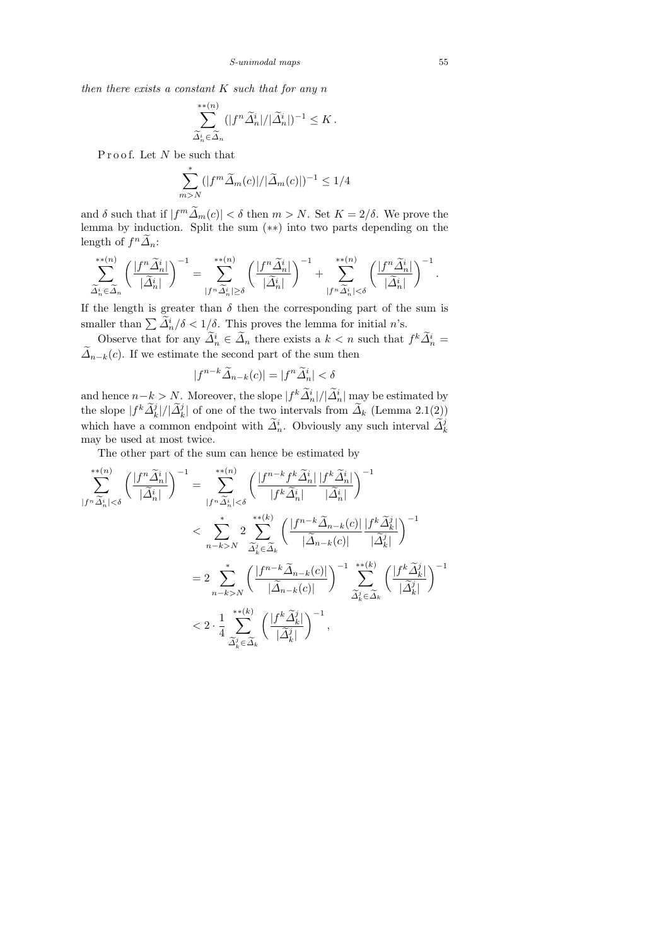then there exists a constant  $K$  such that for any  $n$ 

$$
\sum_{\widetilde{\Delta}_n^i \in \widetilde{\Delta}_n}^{(n)} (|f^n \widetilde{\Delta}_n^i| / |\widetilde{\Delta}_n^i|)^{-1} \leq K.
$$

Proof. Let N be such that

$$
\sum_{m>N}^* (|f^m \widetilde{\Delta}_m(c)|/|\widetilde{\Delta}_m(c)|)^{-1} \le 1/4
$$

and  $\delta$  such that if  $|f^m \tilde{\Delta}_m(c)| < \delta$  then  $m > N$ . Set  $K = 2/\delta$ . We prove the lemma by induction. Split the sum (∗∗) into two parts depending on the length of  $f^n\widetilde{\Delta}_n$ :

$$
\sum_{\widetilde{\Delta}_n^i \in \widetilde{\Delta}_n}^{**(n)} \left(\frac{|f^n \widetilde{\Delta}_n^i|}{|\widetilde{\Delta}_n^i|}\right)^{-1} = \sum_{|f^n \widetilde{\Delta}_n^i| \ge \delta}^{**(n)} \left(\frac{|f^n \widetilde{\Delta}_n^i|}{|\widetilde{\Delta}_n^i|}\right)^{-1} + \sum_{|f^n \widetilde{\Delta}_n^i| < \delta}^{**(n)} \left(\frac{|f^n \widetilde{\Delta}_n^i|}{|\widetilde{\Delta}_n^i|}\right)^{-1}.
$$

If the length is greater than  $\delta$  then the corresponding part of the sum is smaller than  $\sum \tilde{\Delta}_n^i/\delta < 1/\delta$ . This proves the lemma for initial n's.

Observe that for any  $\Delta_n^i \in \Delta_n$  there exists a  $k < n$  such that  $f^k \Delta_n^i =$  $\tilde{\Delta}_{n-k}(c)$ . If we estimate the second part of the sum then

$$
|f^{n-k}\widetilde{\Delta}_{n-k}(c)| = |f^n\widetilde{\Delta}_n^i| < \delta
$$

and hence  $n-k > N$ . Moreover, the slope  $|f^k \tilde{A}_n^i|/|\tilde{A}_n^i|$  may be estimated by the slope  $|f^k \widetilde{\Delta}_k^j|/|\widetilde{\Delta}_k^j|$  of one of the two intervals from  $\widetilde{\Delta}_k$  (Lemma 2.1(2)) which have a common endpoint with  $\tilde{\Delta}_n^i$ . Obviously any such interval  $\tilde{\Delta}_k^j$ may be used at most twice.

The other part of the sum can hence be estimated by

$$
\sum_{|f^n \tilde{\Delta}_n^i| < \delta}^{**(n)} \left( \frac{|f^n \tilde{\Delta}_n^i|}{|\tilde{\Delta}_n^i|} \right)^{-1} = \sum_{|f^n \tilde{\Delta}_n^i| < \delta}^{**(n)} \left( \frac{|f^{n-k} f^k \tilde{\Delta}_n^i|}{|f^k \tilde{\Delta}_n^i|} \frac{|f^k \tilde{\Delta}_n^i|}{|\tilde{\Delta}_n^i|} \right)^{-1} \times \sum_{n-k>N}^{**(k)} 2 \sum_{\tilde{\Delta}_k^i \in \tilde{\Delta}_k}^{**(k)} \left( \frac{|f^{n-k} \tilde{\Delta}_{n-k}(c)|}{|\tilde{\Delta}_{n-k}(c)|} \frac{|f^k \tilde{\Delta}_k^j|}{|\tilde{\Delta}_k^j|} \right)^{-1} \times \sum_{n-k>N}^{**(k)} \left( \frac{|f^{n-k} \tilde{\Delta}_{n-k}(c)|}{|\tilde{\Delta}_{n-k}(c)|} \right)^{-1} \sum_{\tilde{\Delta}_k^j \in \tilde{\Delta}_k}^{**(k)} \left( \frac{|f^k \tilde{\Delta}_k^j|}{|\tilde{\Delta}_k^j|} \right)^{-1} \times 2 \cdot \frac{1}{4} \sum_{\tilde{\Delta}_k^i \in \tilde{\Delta}_k}^{**(k)} \left( \frac{|f^k \tilde{\Delta}_k^j|}{|\tilde{\Delta}_k^i|} \right)^{-1} \times \sum_{\tilde{\Delta}_k^j \in \tilde{\Delta}_k}^{**(k)} \left( \frac{|f^k \tilde{\Delta}_k^j|}{|\tilde{\Delta}_k^j|} \right)^{-1} \times \sum_{\tilde{\Delta}_k^j \in \tilde{\Delta}_k}^{**(k)} \left( \frac{|f^k \tilde{\Delta}_k^j|}{|\tilde{\Delta}_k^j|} \right)^{-1} \times 2 \cdot \frac{1}{4} \sum_{\tilde{\Delta}_k^j \in \tilde{\Delta}_k}^{**(k)} \left( \frac{|f^k \tilde{\Delta}_k^j|}{|\tilde{\Delta}_k^j|} \right)^{-1} \times 2 \cdot \frac{1}{4} \sum_{\tilde{\Delta}_k^j \in \tilde{\Delta}_k}^{**(k)} \left( \frac{|f^k \tilde{\Delta}_k^j|}{|\tilde{\Delta}_k^j|} \right)^{-1} \times 2 \cdot \frac{1}{4} \sum_{
$$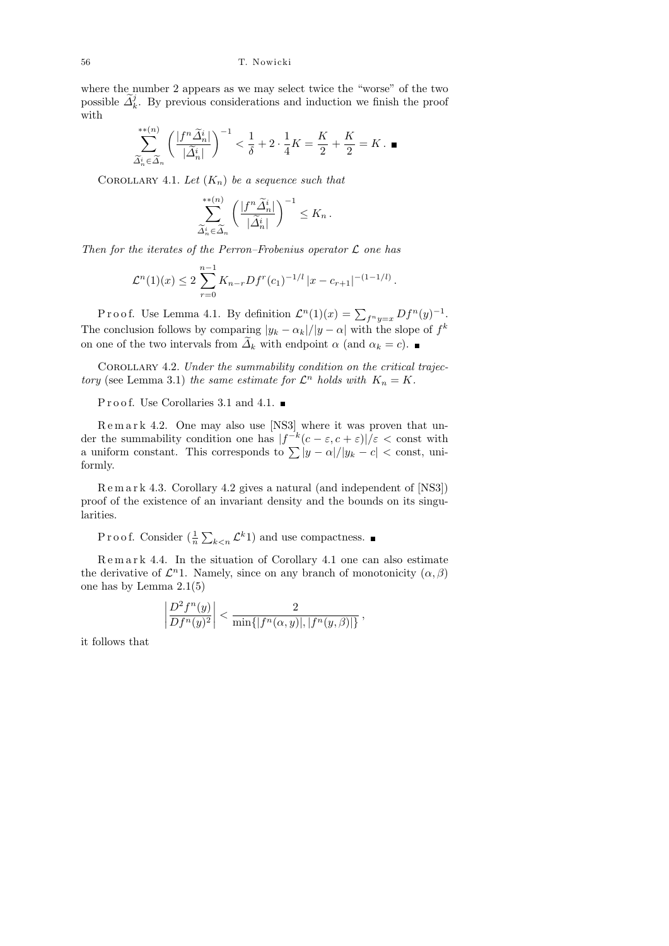where the number 2 appears as we may select twice the "worse" of the two possible  $\tilde{\Delta}_k^j$ . By previous considerations and induction we finish the proof with

$$
\sum_{\widetilde{\Delta}_n^i \in \widetilde{\Delta}_n}^{**}(n) \left(\frac{|f^n \widetilde{\Delta}_n^i|}{|\widetilde{\Delta}_n^i|}\right)^{-1} < \frac{1}{\delta} + 2 \cdot \frac{1}{4}K = \frac{K}{2} + \frac{K}{2} = K. \blacksquare
$$

COROLLARY 4.1. Let  $(K_n)$  be a sequence such that

$$
\sum_{\widetilde{\Delta}_n^i \in \widetilde{\Delta}_n}^{**(n)} \left( \frac{|f^n \widetilde{\Delta}_n^i|}{|\widetilde{\Delta}_n^i|} \right)^{-1} \leq K_n \, .
$$

Then for the iterates of the Perron–Frobenius operator  $\mathcal L$  one has

$$
\mathcal{L}^n(1)(x) \leq 2 \sum_{r=0}^{n-1} K_{n-r} Df^r(c_1)^{-1/l} |x - c_{r+1}|^{-(1-1/l)}.
$$

Proof. Use Lemma 4.1. By definition  $\mathcal{L}^n(1)(x) = \sum_{f^n y = x} Df^n(y)^{-1}$ . The conclusion follows by comparing  $|y_k - \alpha_k|/|y - \alpha|$  with the slope of  $f^k$ on one of the two intervals from  $\widetilde{\Delta}_k$  with endpoint  $\alpha$  (and  $\alpha_k = c$ ).

Corollary 4.2. Under the summability condition on the critical trajectory (see Lemma 3.1) the same estimate for  $\mathcal{L}^n$  holds with  $K_n = K$ .

P r o o f. Use Corollaries 3.1 and 4.1.

Remark 4.2. One may also use [NS3] where it was proven that under the summability condition one has  $|f^{-k}(c-\varepsilon,c+\varepsilon)|/\varepsilon < \text{const}$  with a uniform constant. This corresponds to  $\sum |y - \alpha|/|y_k - c| <$  const, uniformly.

R e m a r k 4.3. Corollary 4.2 gives a natural (and independent of [NS3]) proof of the existence of an invariant density and the bounds on its singularities.

Proof. Consider  $(\frac{1}{n}\sum_{k\leq n} \mathcal{L}^k 1)$  and use compactness.

Remark 4.4. In the situation of Corollary 4.1 one can also estimate the derivative of  $\mathcal{L}^n$ 1. Namely, since on any branch of monotonicity  $(\alpha, \beta)$ one has by Lemma 2.1(5)

$$
\left| \frac{D^2 f^n(y)}{D f^n(y)^2} \right| < \frac{2}{\min\{|f^n(\alpha, y)|, |f^n(y, \beta)|\}},
$$

it follows that

 $\overline{\phantom{a}}$  $\overline{\phantom{a}}$  $\overline{\phantom{a}}$  $\overline{\phantom{a}}$